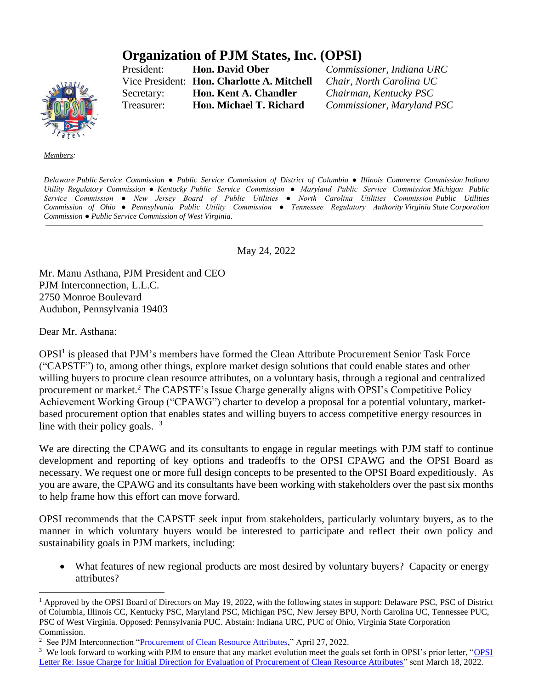## **Organization of PJM States, Inc. (OPSI)**

President: **Hon. David Ober** *Commissioner, Indiana URC* Vice President: **Hon. Charlotte A. Mitchell** *Chair, North Carolina UC* Secretary: **Hon. Kent A. Chandler** *Chairman, Kentucky PSC* Treasurer: **Hon. Michael T. Richard** *Commissioner, Maryland PSC*

*Members:*

Delaware Public Service Commission • Public Service Commission of District of Columbia • Illinois Commerce Commission Indiana *Utility Regulatory Commission ● Kentucky Public Service Commission ● Maryland Public Service Commission Michigan Public Service Commission ● New Jersey Board of Public Utilities ● North Carolina Utilities Commission Public Utilities Commission of Ohio ● Pennsylvania Public Utility Commission ● Tennessee Regulatory Authority Virginia State Corporation Commission ● Public Service Commission of West Virginia.*

May 24, 2022

Mr. Manu Asthana, PJM President and CEO PJM Interconnection, L.L.C. 2750 Monroe Boulevard Audubon, Pennsylvania 19403

Dear Mr. Asthana:

OPSI<sup>1</sup> is pleased that PJM's members have formed the Clean Attribute Procurement Senior Task Force ("CAPSTF") to, among other things, explore market design solutions that could enable states and other willing buyers to procure clean resource attributes, on a voluntary basis, through a regional and centralized procurement or market.<sup>2</sup> The CAPSTF's Issue Charge generally aligns with OPSI's Competitive Policy Achievement Working Group ("CPAWG") charter to develop a proposal for a potential voluntary, marketbased procurement option that enables states and willing buyers to access competitive energy resources in line with their policy goals.  $3$ 

We are directing the CPAWG and its consultants to engage in regular meetings with PJM staff to continue development and reporting of key options and tradeoffs to the OPSI CPAWG and the OPSI Board as necessary. We request one or more full design concepts to be presented to the OPSI Board expeditiously. As you are aware, the CPAWG and its consultants have been working with stakeholders over the past six months to help frame how this effort can move forward.

OPSI recommends that the CAPSTF seek input from stakeholders, particularly voluntary buyers, as to the manner in which voluntary buyers would be interested to participate and reflect their own policy and sustainability goals in PJM markets, including:

• What features of new regional products are most desired by voluntary buyers? Capacity or energy attributes?

<sup>&</sup>lt;sup>1</sup> Approved by the OPSI Board of Directors on May 19, 2022, with the following states in support: Delaware PSC, PSC of District of Columbia, Illinois CC, Kentucky PSC, Maryland PSC, Michigan PSC, New Jersey BPU, North Carolina UC, Tennessee PUC, PSC of West Virginia. Opposed: Pennsylvania PUC. Abstain: Indiana URC, PUC of Ohio, Virginia State Corporation Commission.

<sup>&</sup>lt;sup>2</sup> See PJM Interconnection ["Procurement of Clean Resource Attributes,](https://www.pjm.com/-/media/committees-groups/committees/mrc/2022/20220427/20220427-item-03a-2-draft-procurement-of-clean-resource-attributes-issue-charge.ashx)" April 27, 2022.

<sup>&</sup>lt;sup>3</sup> We look forward to working with PJM to ensure that any market evolution meet the goals set forth in OPSI's prior letter, "OPSI [Letter Re: Issue Charge for Initial Direction for Evaluation of Procurement of Clean Resource Attributes"](https://pjm.com/-/media/about-pjm/who-we-are/public-disclosures/20220321-opsi-letter-re-issue-charge-for-initial-direction-for-evaluation-of-procurement-of-clean-resource-attributes.ashx) sent March 18, 2022.